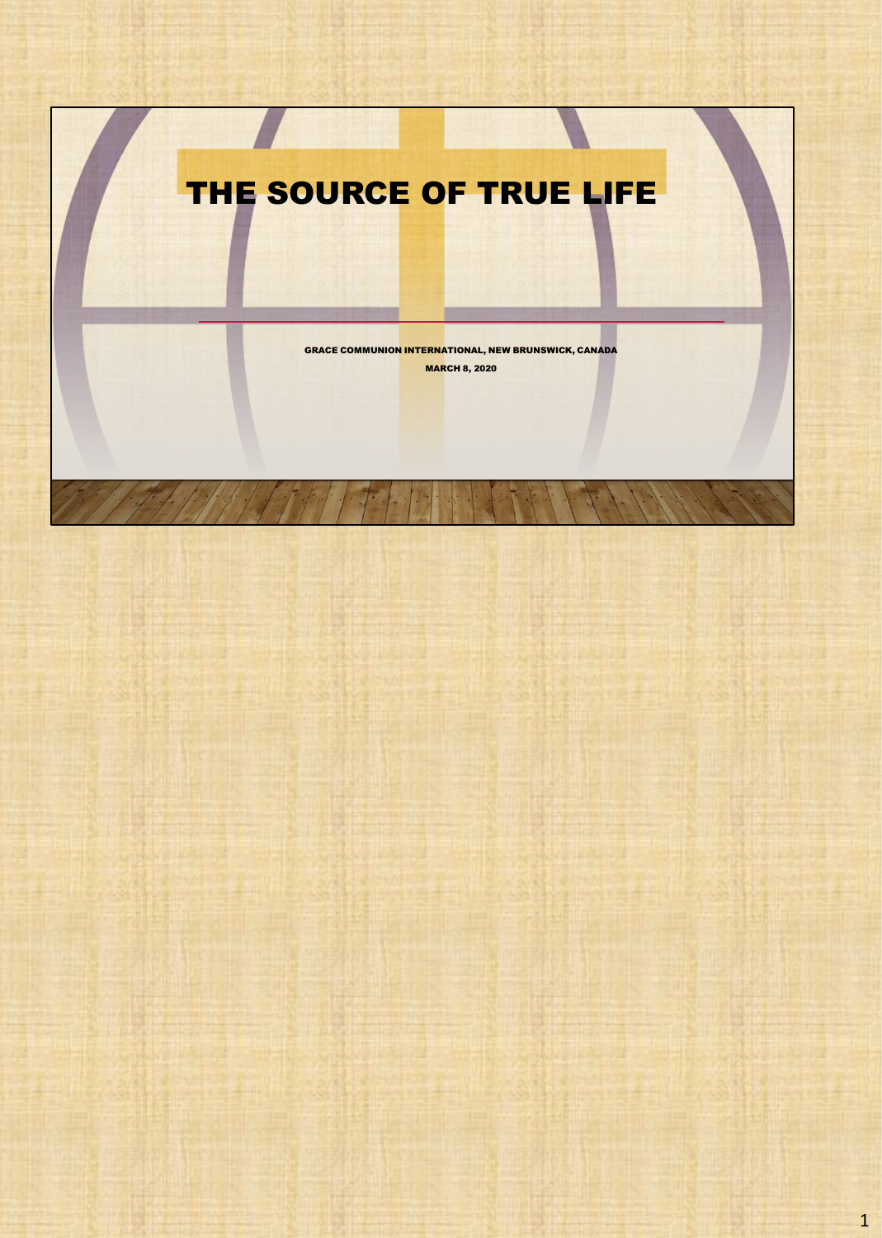## THE SOURCE OF TRUE LIFE

GRACE COMMUNION INTERNATIONAL, NEW BRUNSWICK, CANADA MARCH 8, 2020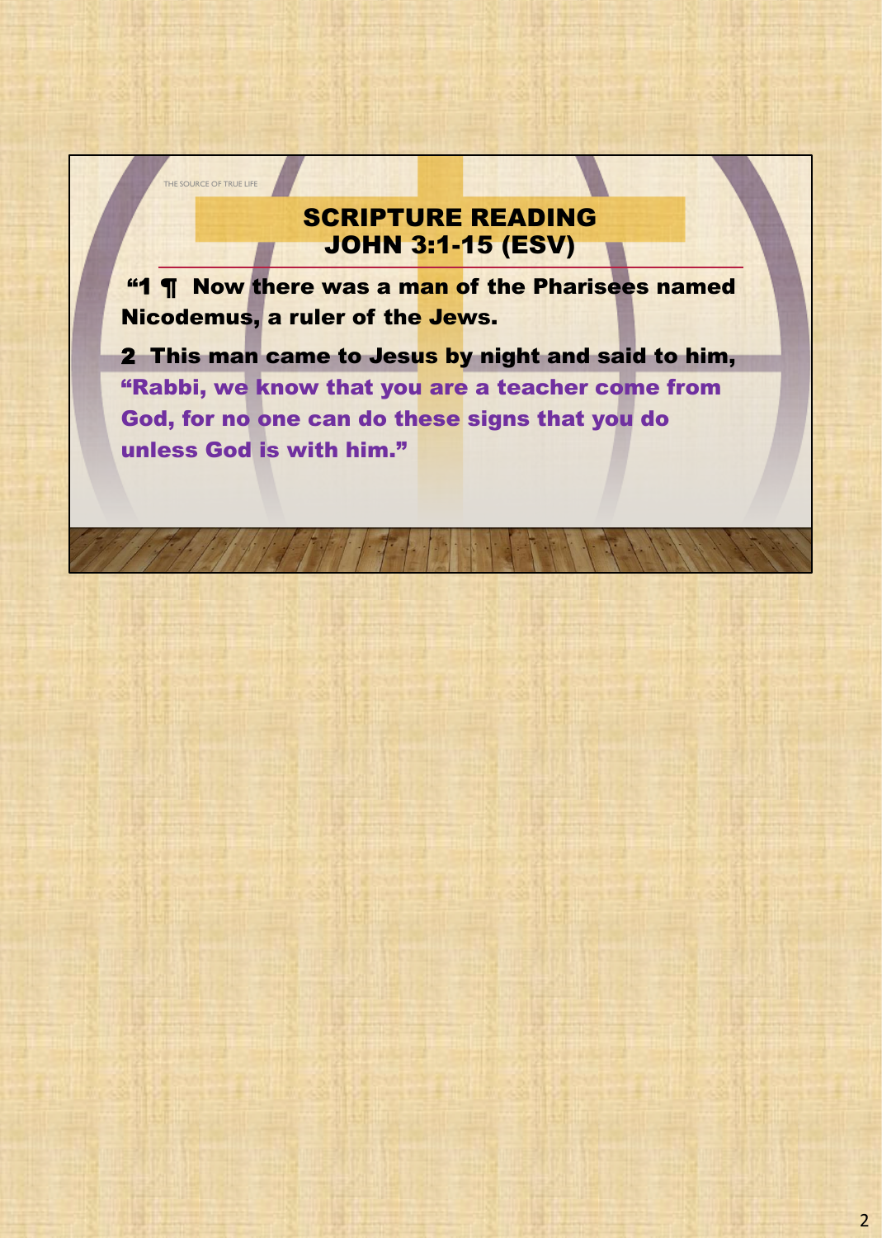#### SCRIPTURE READING JOHN 3:1-15 (ESV)

"1 ¶ Now there was a man of the Pharisees named Nicodemus, a ruler of the Jews.

THE SOURCE OF TRUE LIFE

2 This man came to Jesus by night and said to him, "Rabbi, we know that you are a teacher come from God, for no one can do these signs that you do unless God is with him."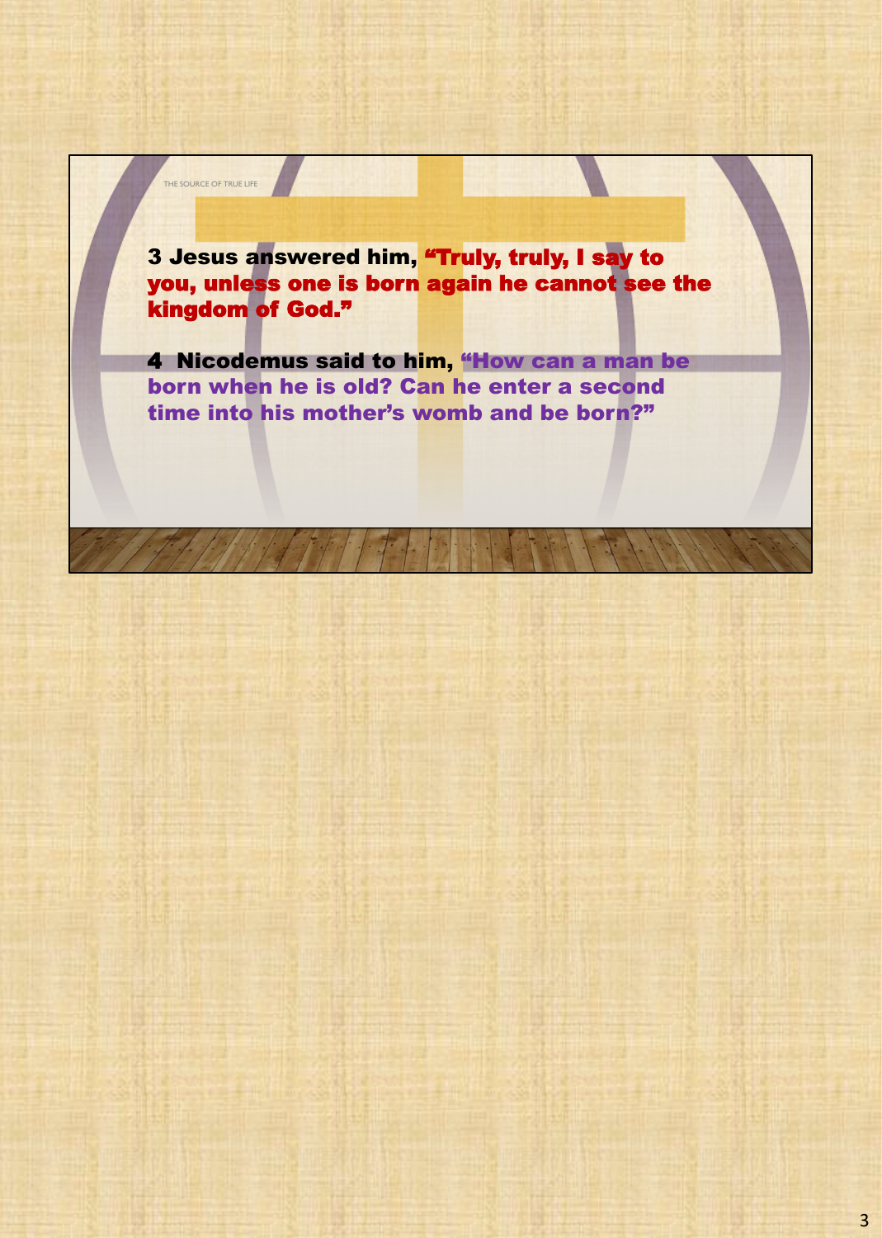3 Jesus answered him, "Truly, truly, I say to you, unless one is born again he cannot see the kingdom of God."

THE SOURCE OF TRUE LIFE

4 Nicodemus said to him, "How can a man be born when he is old? Can he enter a second time into his mother's womb and be born?"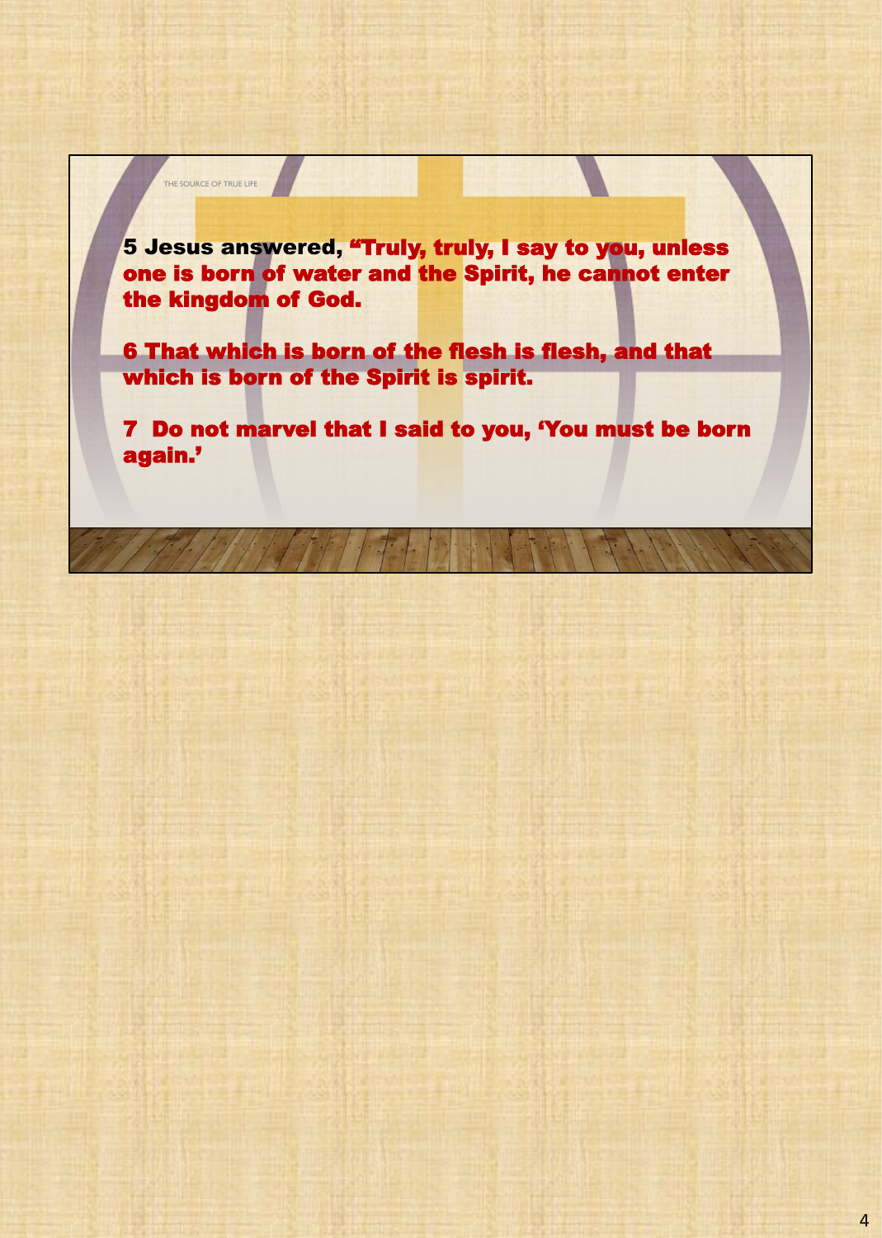5 Jesus answered, "Truly, truly, I say to you, unless one is born of water and the Spirit, he cannot enter the kingdom of God.

THE SOURCE OF TRUE LIFE

6 That which is born of the flesh is flesh, and that which is born of the Spirit is spirit.

7 Do not marvel that I said to you, 'You must be born again.'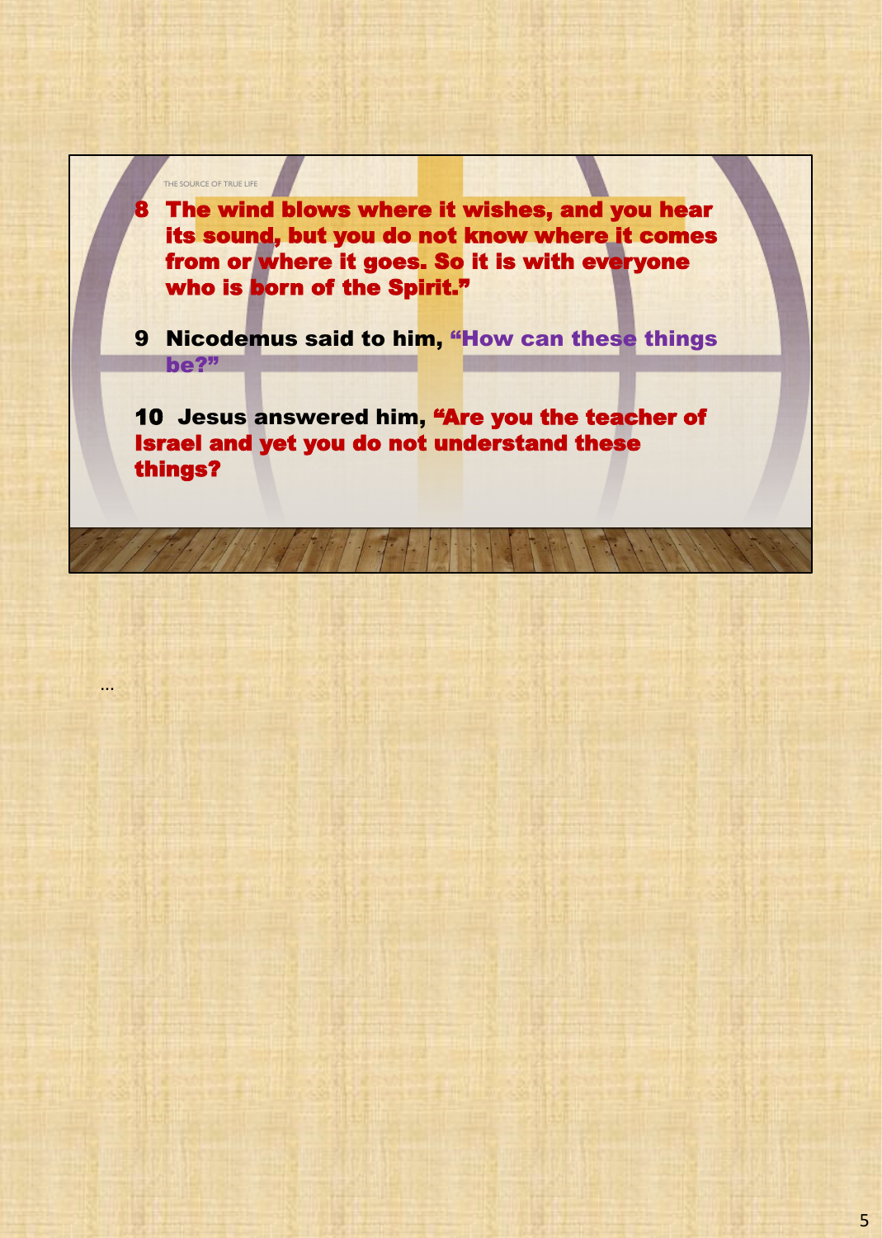8 The wind blows where it wishes, and you hear its sound, but you do not know where it comes from or where it goes. So it is with everyone who is born of the Spirit."

THE SOURCE OF TRUE LIFE

...

9 Nicodemus said to him, "How can these things be?"

10 Jesus answered him, "Are you the teacher of Israel and yet you do not understand these things?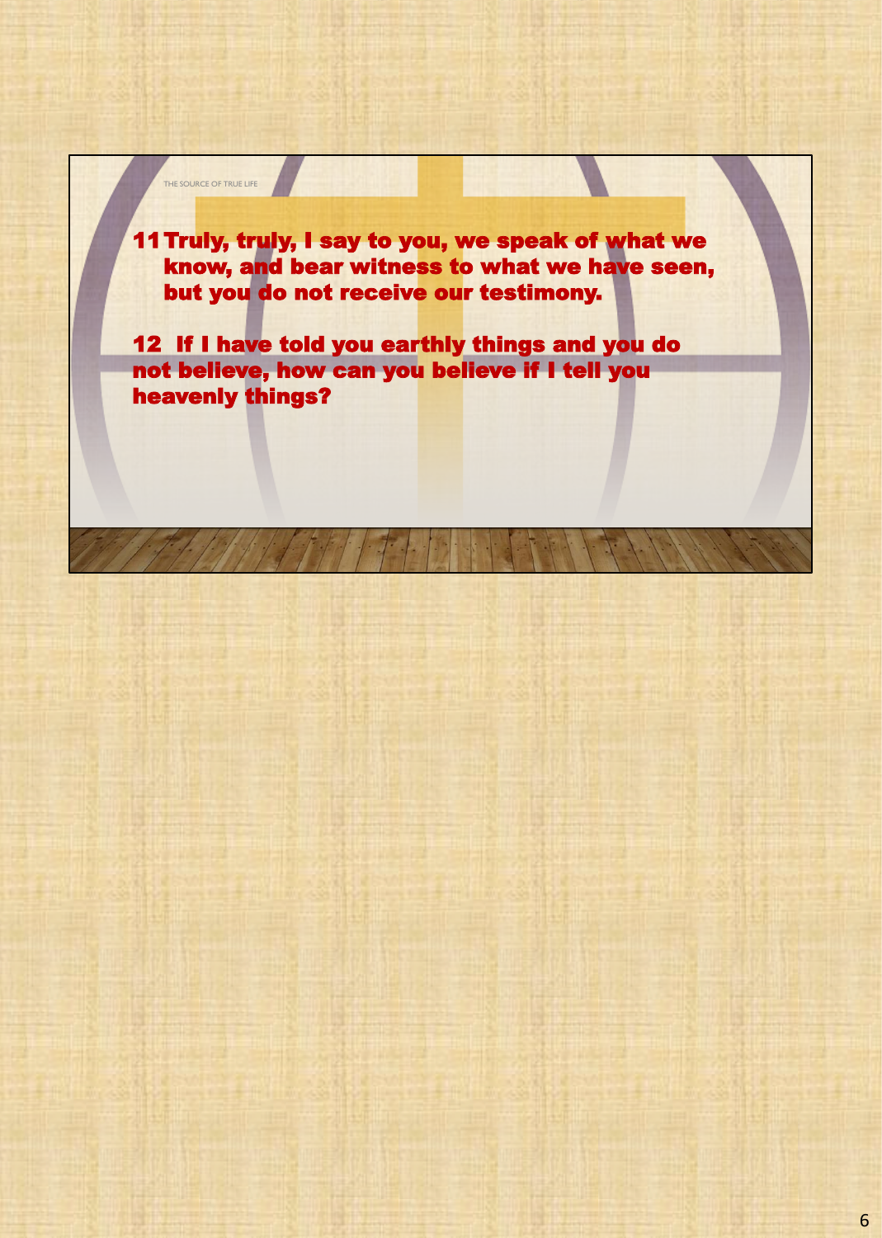11Truly, truly, I say to you, we speak of what we know, and bear witness to what we have seen, but you do not receive our testimony.

THE SOURCE OF TRUE LIFE

12 If I have told you earthly things and you do not believe, how can you believe if I tell you heavenly things?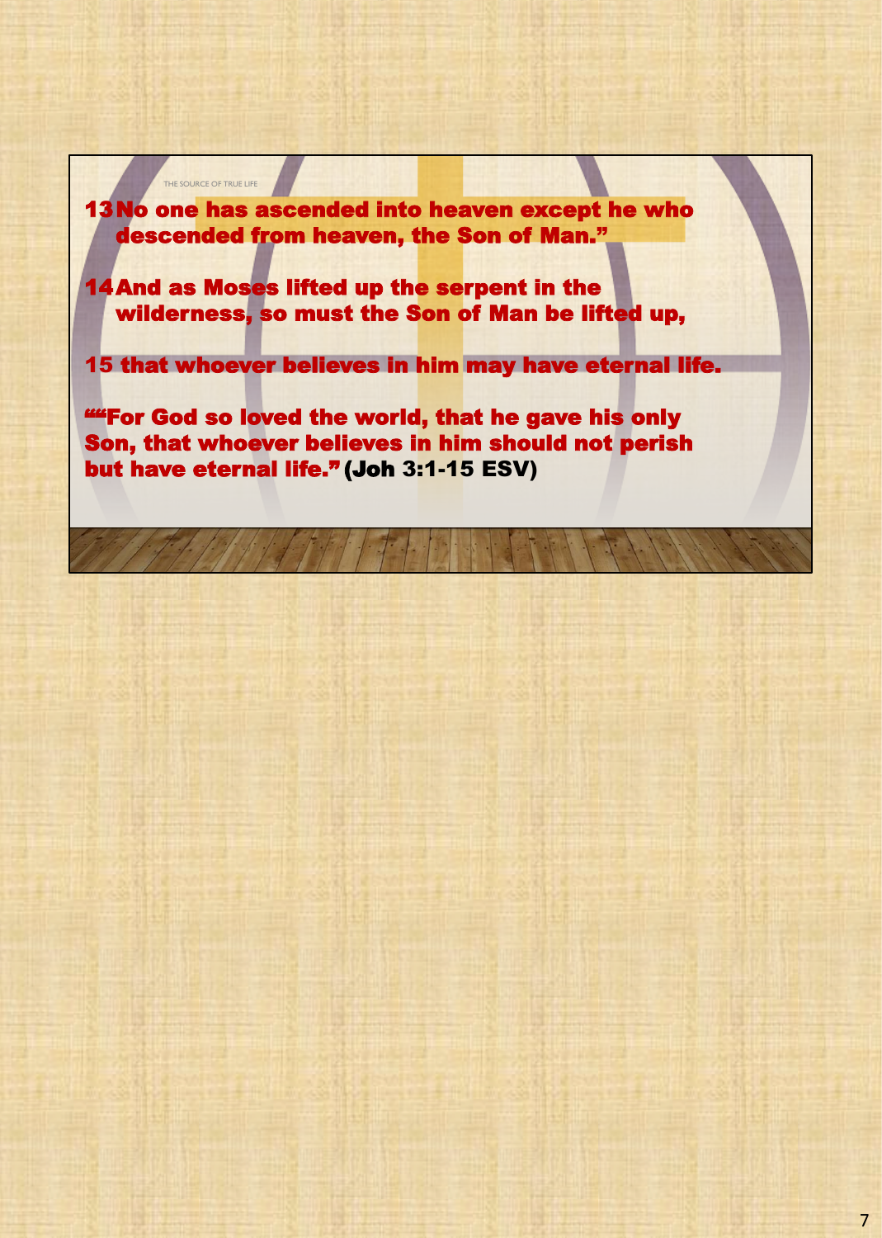13No one has ascended into heaven except he who descended from heaven, the Son of Man."

THE SOURCE OF TRUE LIFE

14And as Moses lifted up the serpent in the wilderness, so must the Son of Man be lifted up,

15 that whoever believes in him may have eternal life.

""For God so loved the world, that he gave his only Son, that whoever believes in him should not perish but have eternal life." (Joh 3:1-15 ESV)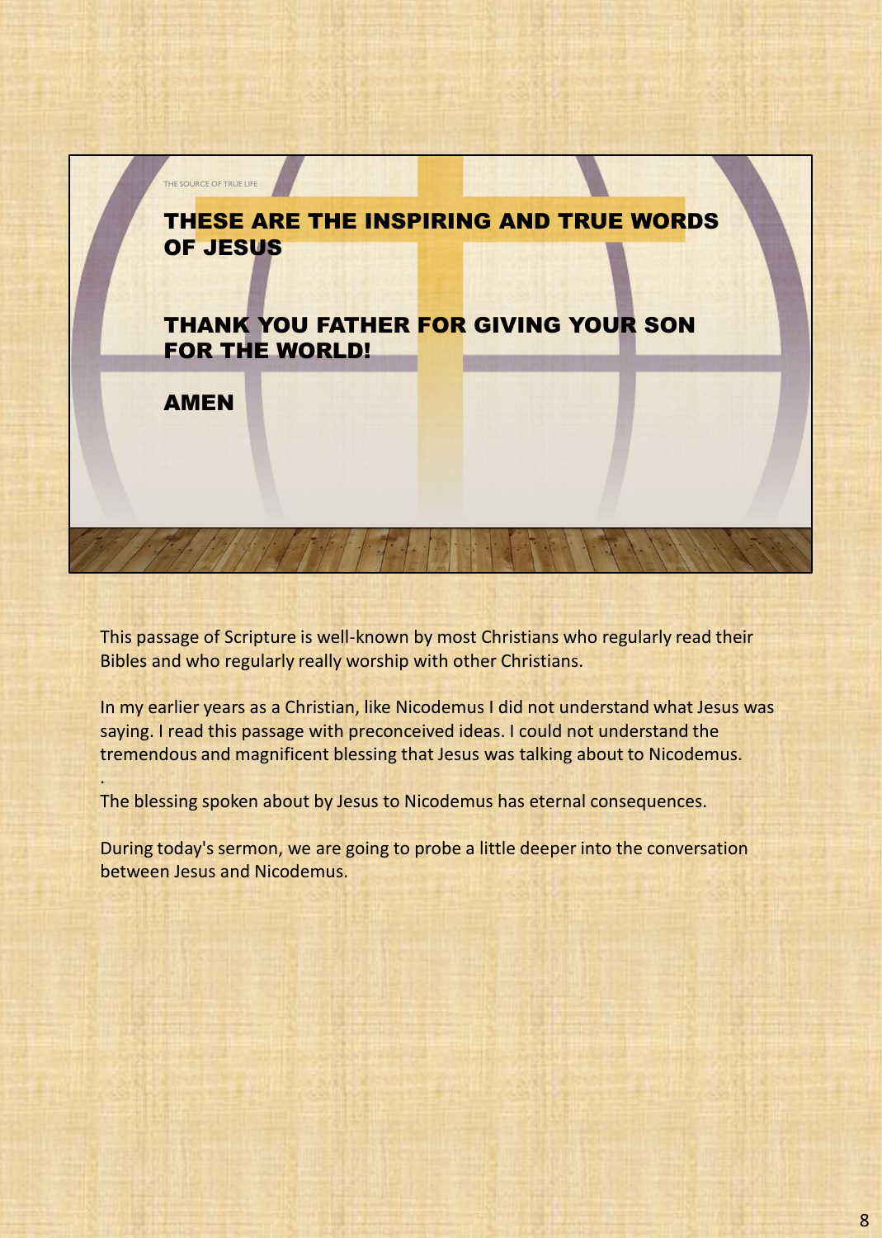

This passage of Scripture is well-known by most Christians who regularly read their Bibles and who regularly really worship with other Christians.

In my earlier years as a Christian, like Nicodemus I did not understand what Jesus was saying. I read this passage with preconceived ideas. I could not understand the tremendous and magnificent blessing that Jesus was talking about to Nicodemus.

The blessing spoken about by Jesus to Nicodemus has eternal consequences.

.

During today's sermon, we are going to probe a little deeper into the conversation between Jesus and Nicodemus.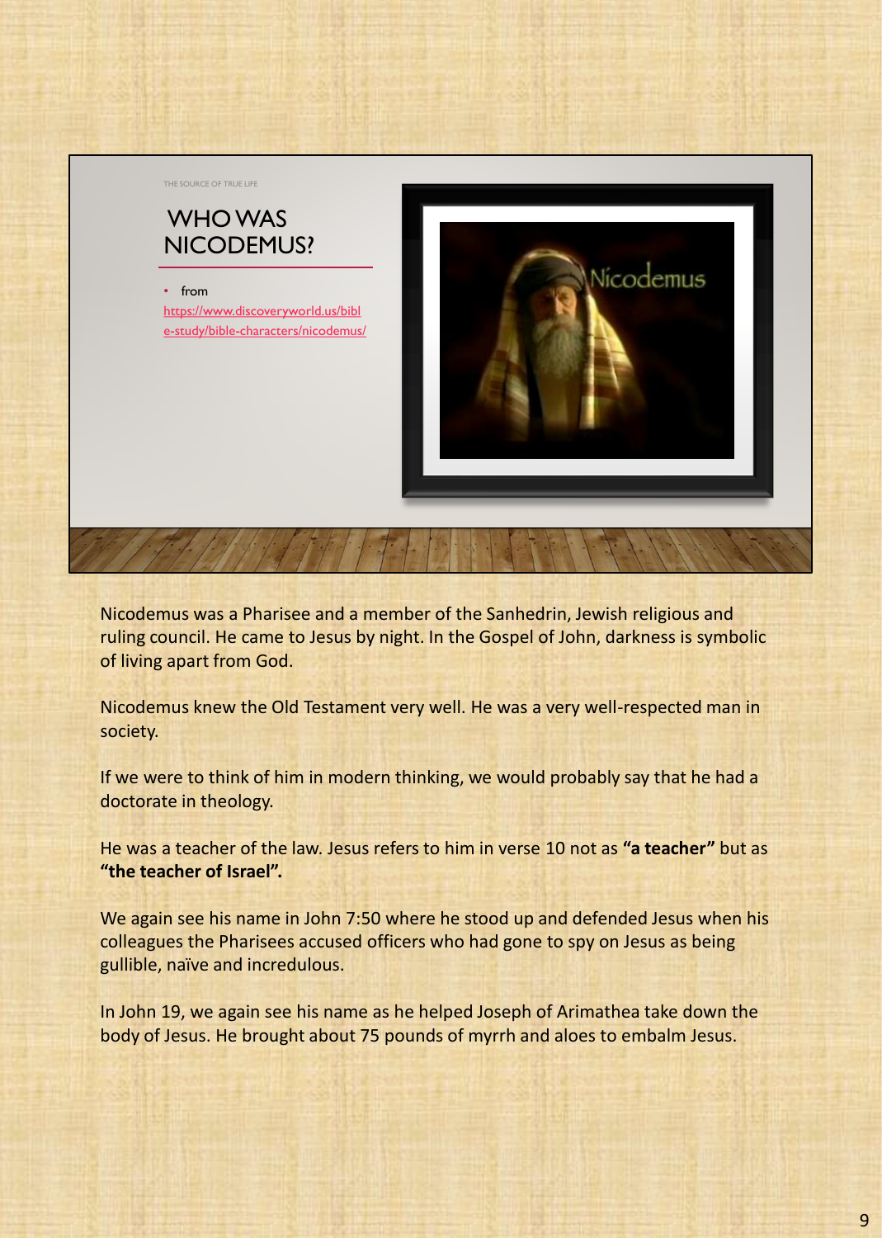

Nicodemus was a Pharisee and a member of the Sanhedrin, Jewish religious and ruling council. He came to Jesus by night. In the Gospel of John, darkness is symbolic of living apart from God.

Nicodemus knew the Old Testament very well. He was a very well-respected man in society.

If we were to think of him in modern thinking, we would probably say that he had a doctorate in theology.

He was a teacher of the law. Jesus refers to him in verse 10 not as **"a teacher"** but as **"the teacher of Israel".** 

We again see his name in John 7:50 where he stood up and defended Jesus when his colleagues the Pharisees accused officers who had gone to spy on Jesus as being gullible, naïve and incredulous.

In John 19, we again see his name as he helped Joseph of Arimathea take down the body of Jesus. He brought about 75 pounds of myrrh and aloes to embalm Jesus.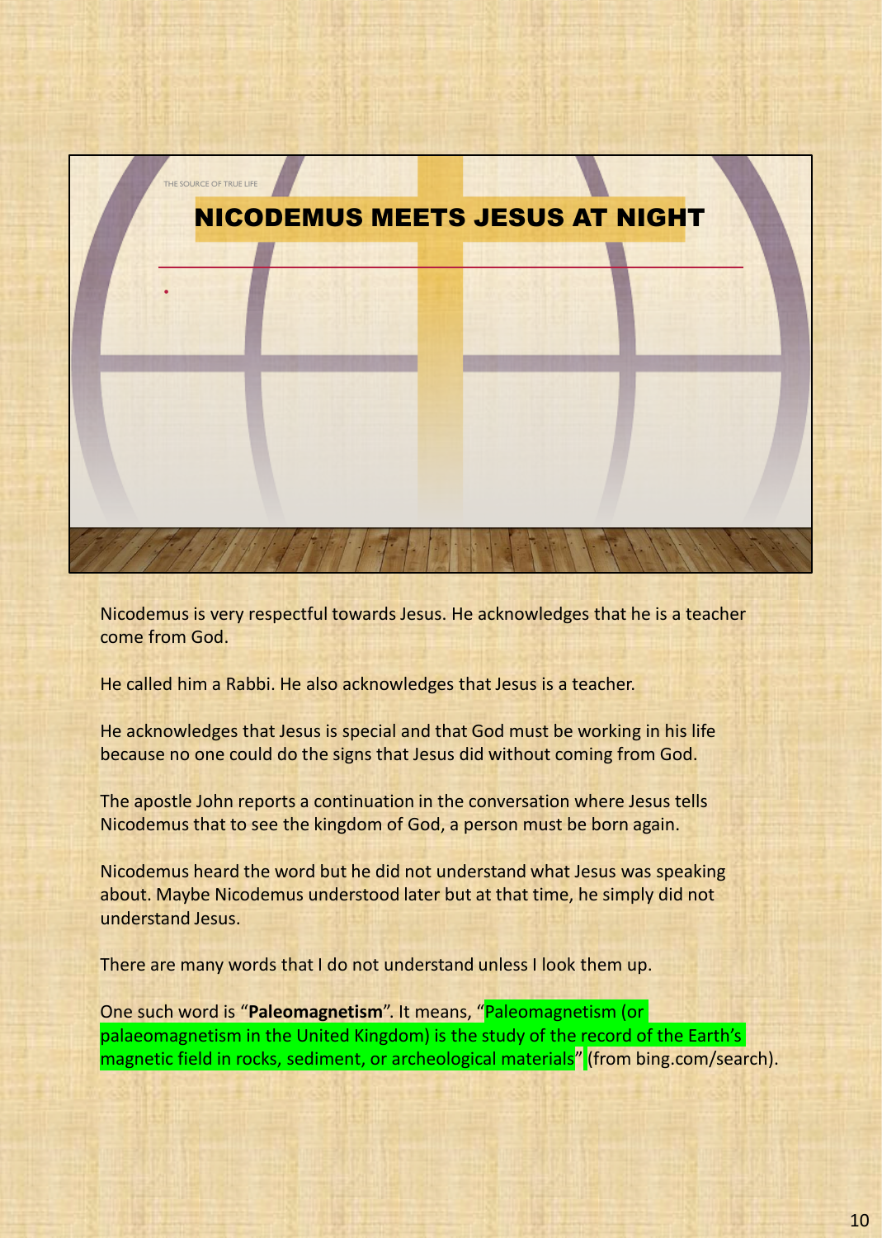

Nicodemus is very respectful towards Jesus. He acknowledges that he is a teacher come from God.

He called him a Rabbi. He also acknowledges that Jesus is a teacher.

He acknowledges that Jesus is special and that God must be working in his life because no one could do the signs that Jesus did without coming from God.

The apostle John reports a continuation in the conversation where Jesus tells Nicodemus that to see the kingdom of God, a person must be born again.

Nicodemus heard the word but he did not understand what Jesus was speaking about. Maybe Nicodemus understood later but at that time, he simply did not understand Jesus.

There are many words that I do not understand unless I look them up.

One such word is "**Paleomagnetism**". It means, "Paleomagnetism (or palaeomagnetism in the United Kingdom) is the study of the record of the Earth's magnetic field in rocks, sediment, or archeological materials" (from bing.com/search).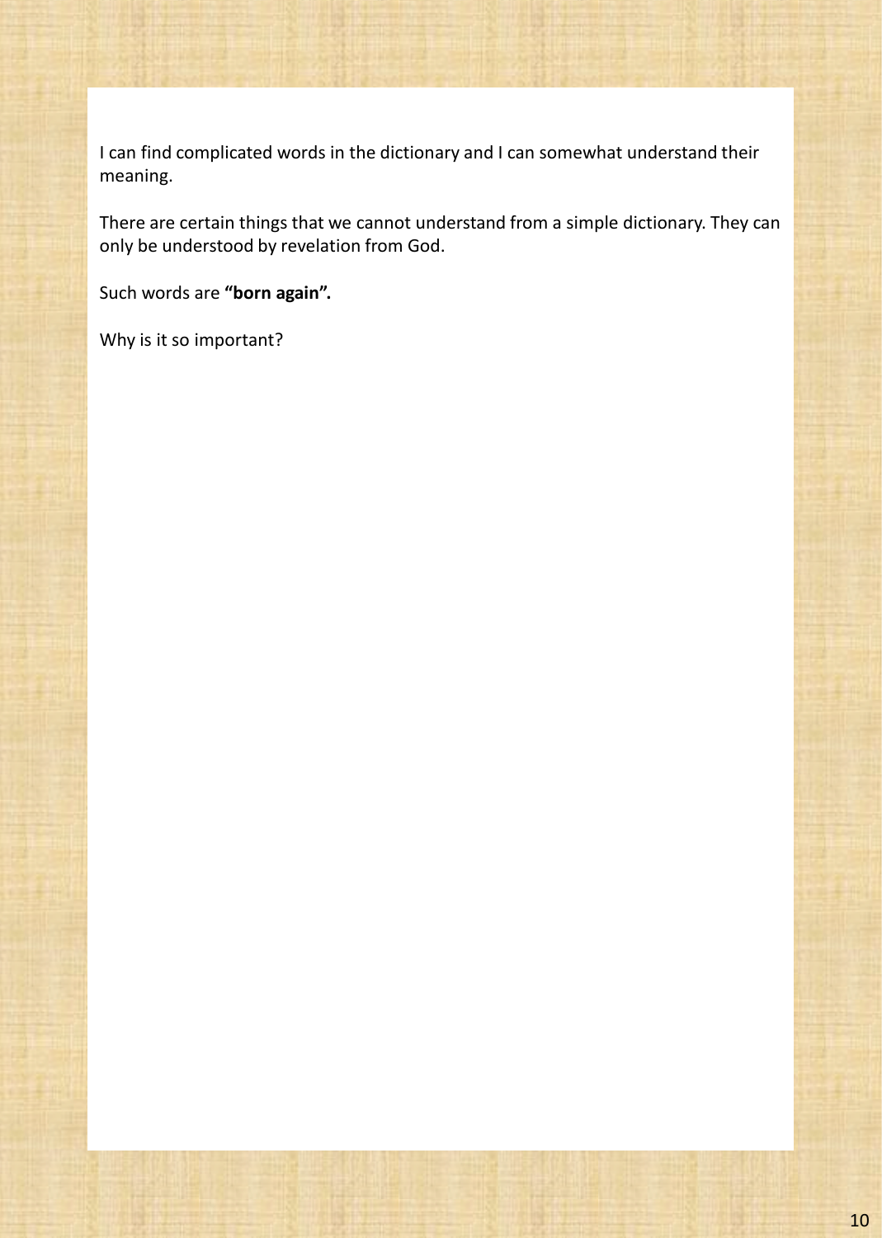I can find complicated words in the dictionary and I can somewhat understand their meaning.

There are certain things that we cannot understand from a simple dictionary. They can only be understood by revelation from God.

Such words are **"born again".**

Why is it so important?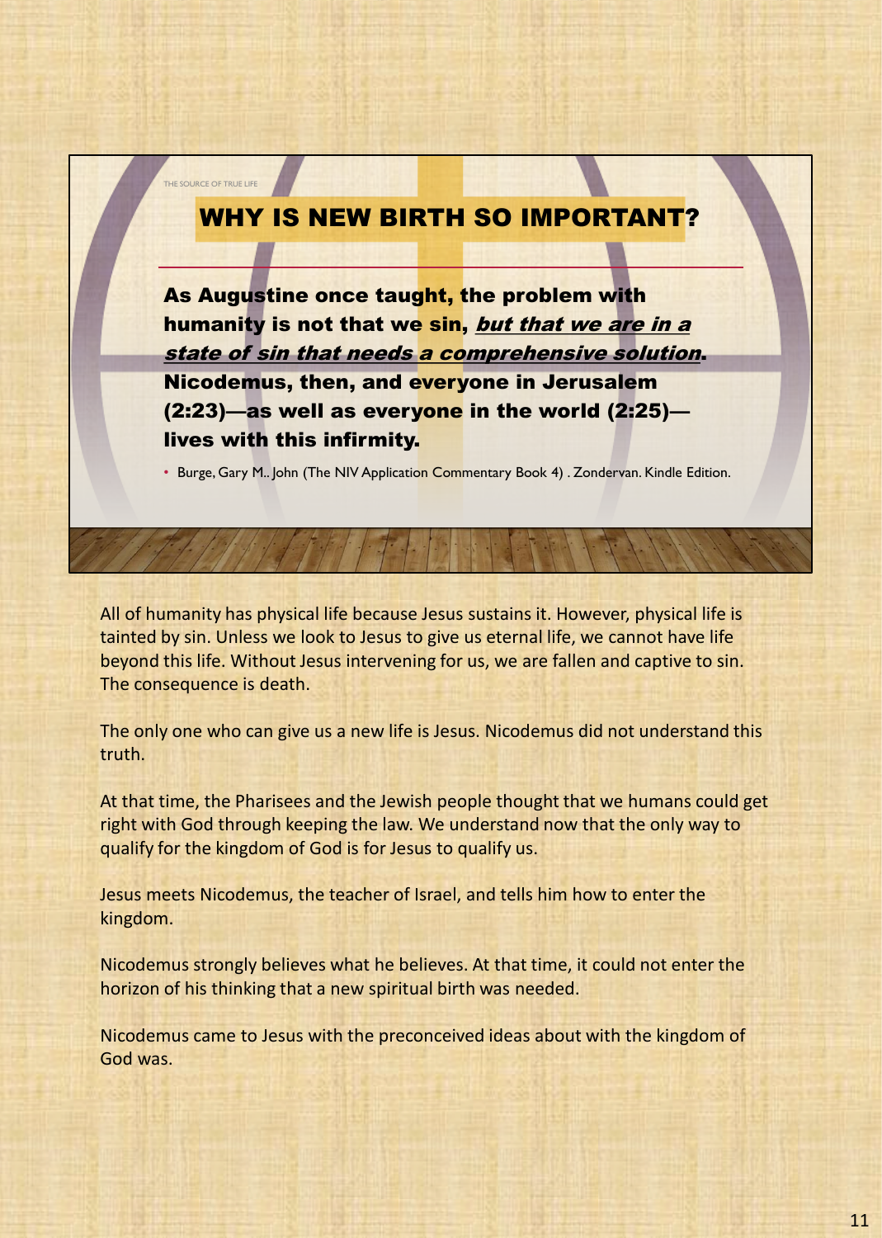#### WHY IS NEW BIRTH SO IMPORTANT?

THE SOURCE OF TRUE LIFE

As Augustine once taught, the problem with humanity is not that we sin, but that we are in a state of sin that needs a comprehensive solution. Nicodemus, then, and everyone in Jerusalem (2:23)—as well as everyone in the world (2:25) lives with this infirmity.

• Burge, Gary M.. John (The NIV Application Commentary Book 4) . Zondervan. Kindle Edition.

All of humanity has physical life because Jesus sustains it. However, physical life is tainted by sin. Unless we look to Jesus to give us eternal life, we cannot have life beyond this life. Without Jesus intervening for us, we are fallen and captive to sin. The consequence is death.

The only one who can give us a new life is Jesus. Nicodemus did not understand this truth.

At that time, the Pharisees and the Jewish people thought that we humans could get right with God through keeping the law. We understand now that the only way to qualify for the kingdom of God is for Jesus to qualify us.

Jesus meets Nicodemus, the teacher of Israel, and tells him how to enter the kingdom.

Nicodemus strongly believes what he believes. At that time, it could not enter the horizon of his thinking that a new spiritual birth was needed.

Nicodemus came to Jesus with the preconceived ideas about with the kingdom of God was.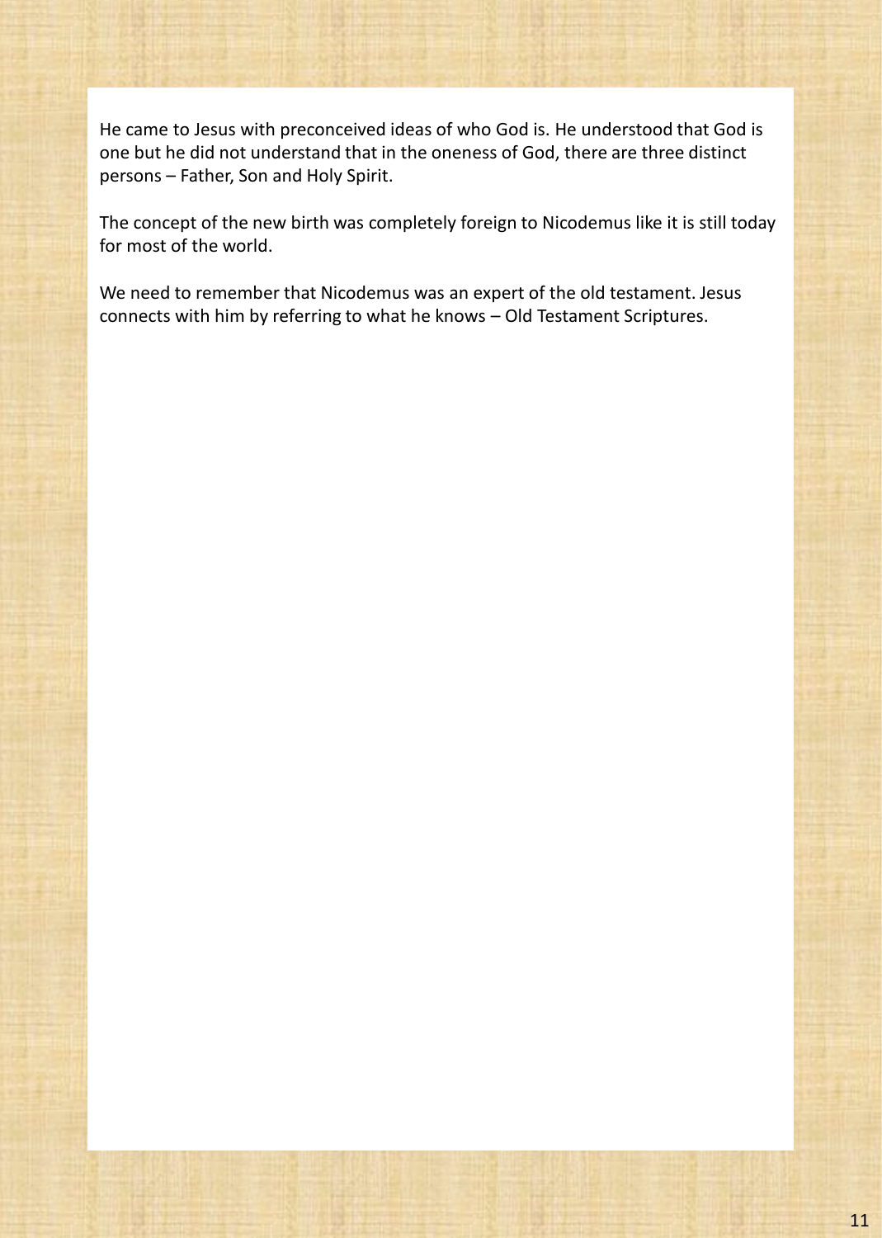He came to Jesus with preconceived ideas of who God is. He understood that God is one but he did not understand that in the oneness of God, there are three distinct persons – Father, Son and Holy Spirit.

The concept of the new birth was completely foreign to Nicodemus like it is still today for most of the world.

We need to remember that Nicodemus was an expert of the old testament. Jesus connects with him by referring to what he knows – Old Testament Scriptures.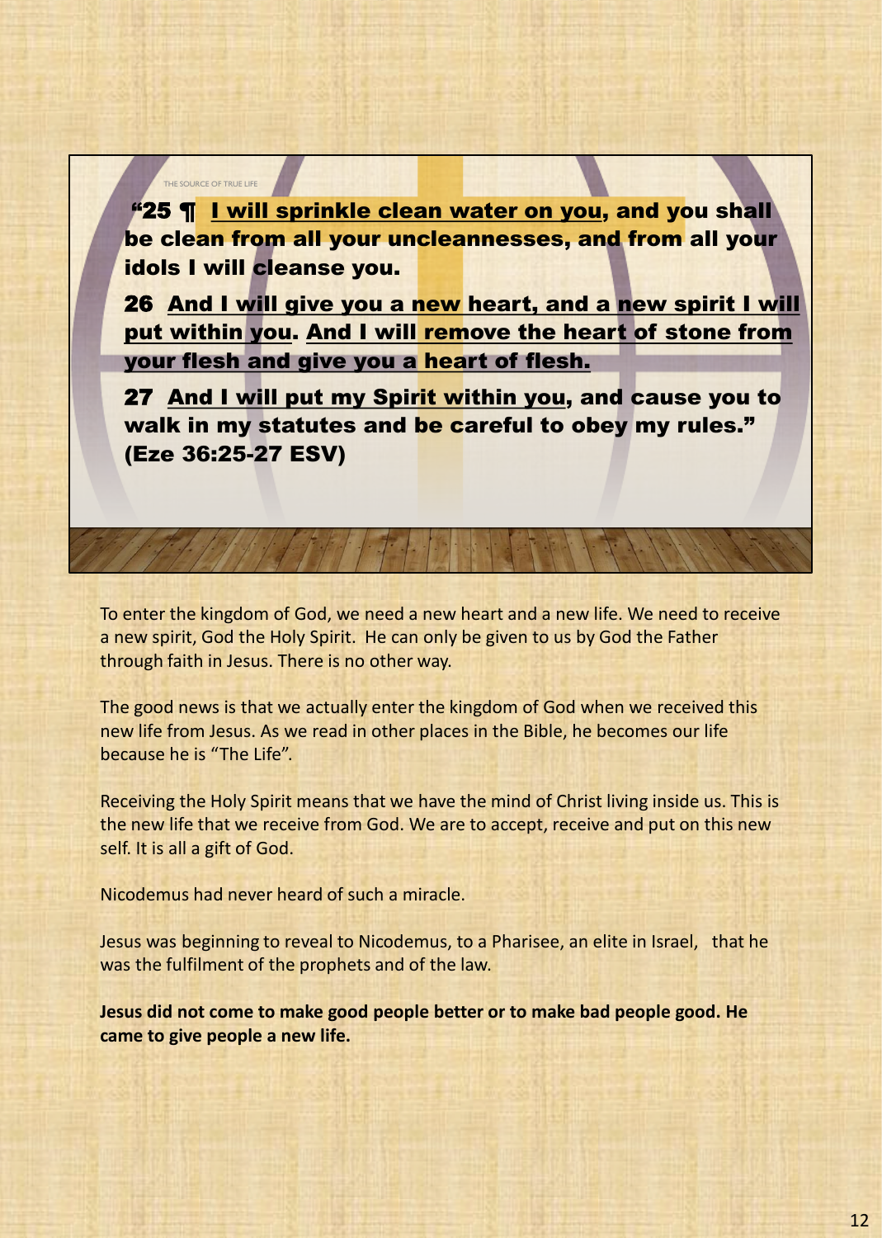

27 And I will put my Spirit within you, and cause you to walk in my statutes and be careful to obey my rules." (Eze 36:25-27 ESV)

To enter the kingdom of God, we need a new heart and a new life. We need to receive a new spirit, God the Holy Spirit. He can only be given to us by God the Father through faith in Jesus. There is no other way.

The good news is that we actually enter the kingdom of God when we received this new life from Jesus. As we read in other places in the Bible, he becomes our life because he is "The Life".

Receiving the Holy Spirit means that we have the mind of Christ living inside us. This is the new life that we receive from God. We are to accept, receive and put on this new self. It is all a gift of God.

Nicodemus had never heard of such a miracle.

Jesus was beginning to reveal to Nicodemus, to a Pharisee, an elite in Israel, that he was the fulfilment of the prophets and of the law.

**Jesus did not come to make good people better or to make bad people good. He came to give people a new life.**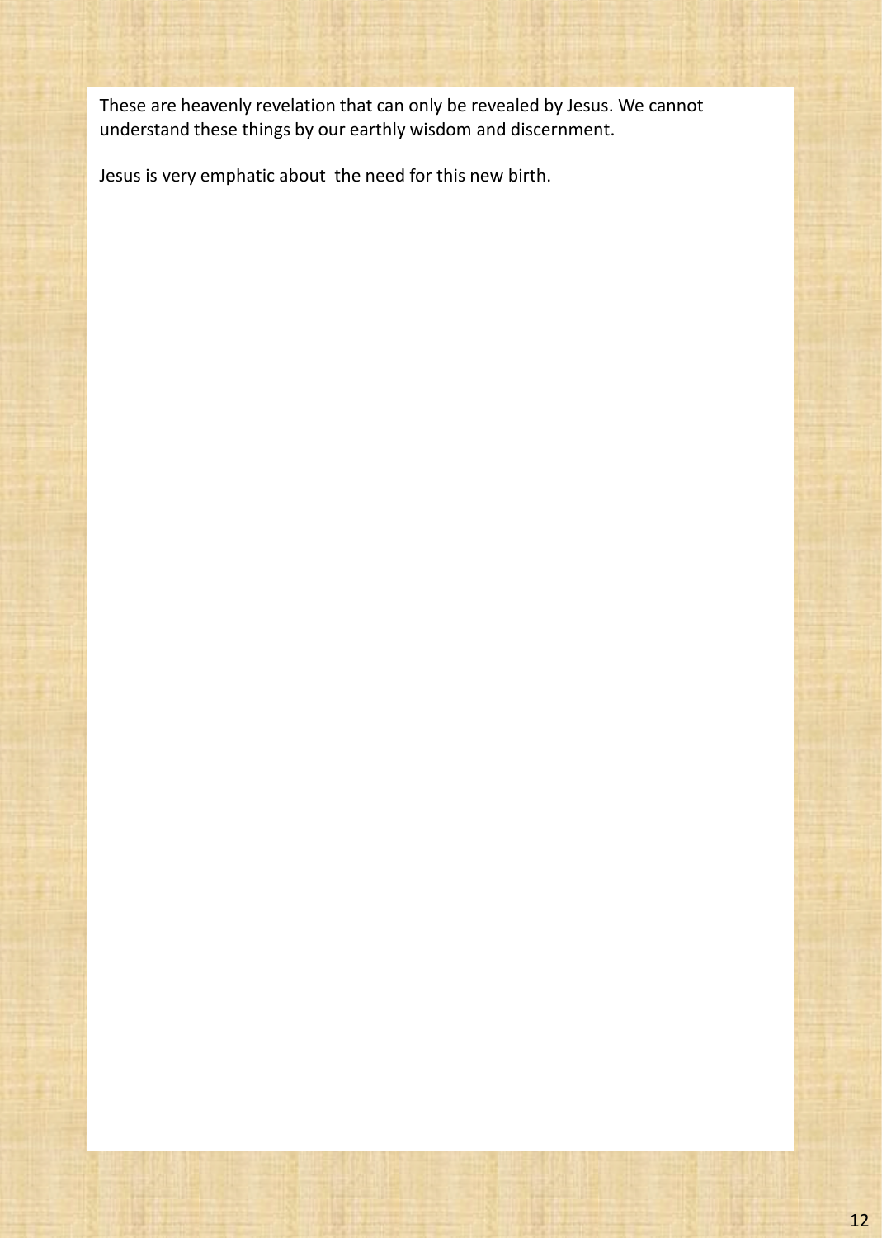These are heavenly revelation that can only be revealed by Jesus. We cannot understand these things by our earthly wisdom and discernment.

Jesus is very emphatic about the need for this new birth.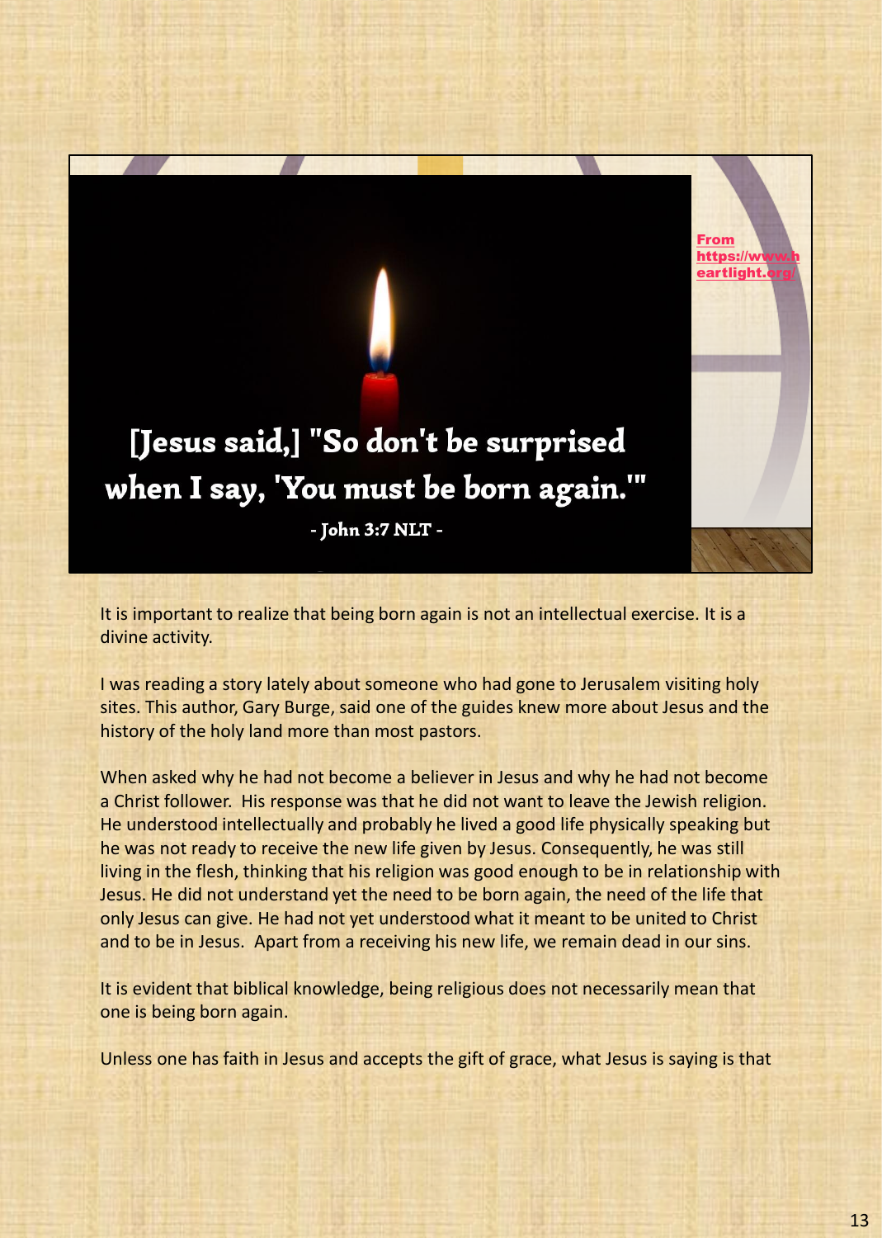### [Jesus said,] "So don't be surprised when I say, 'You must be born again.""

- John 3:7 NLT -

It is important to realize that being born again is not an intellectual exercise. It is a divine activity.

I was reading a story lately about someone who had gone to Jerusalem visiting holy sites. This author, Gary Burge, said one of the guides knew more about Jesus and the history of the holy land more than most pastors.

When asked why he had not become a believer in Jesus and why he had not become a Christ follower. His response was that he did not want to leave the Jewish religion. He understood intellectually and probably he lived a good life physically speaking but he was not ready to receive the new life given by Jesus. Consequently, he was still living in the flesh, thinking that his religion was good enough to be in relationship with Jesus. He did not understand yet the need to be born again, the need of the life that only Jesus can give. He had not yet understood what it meant to be united to Christ and to be in Jesus. Apart from a receiving his new life, we remain dead in our sins.

It is evident that biblical knowledge, being religious does not necessarily mean that one is being born again.

Unless one has faith in Jesus and accepts the gift of grace, what Jesus is saying is that

From https://w eartlight.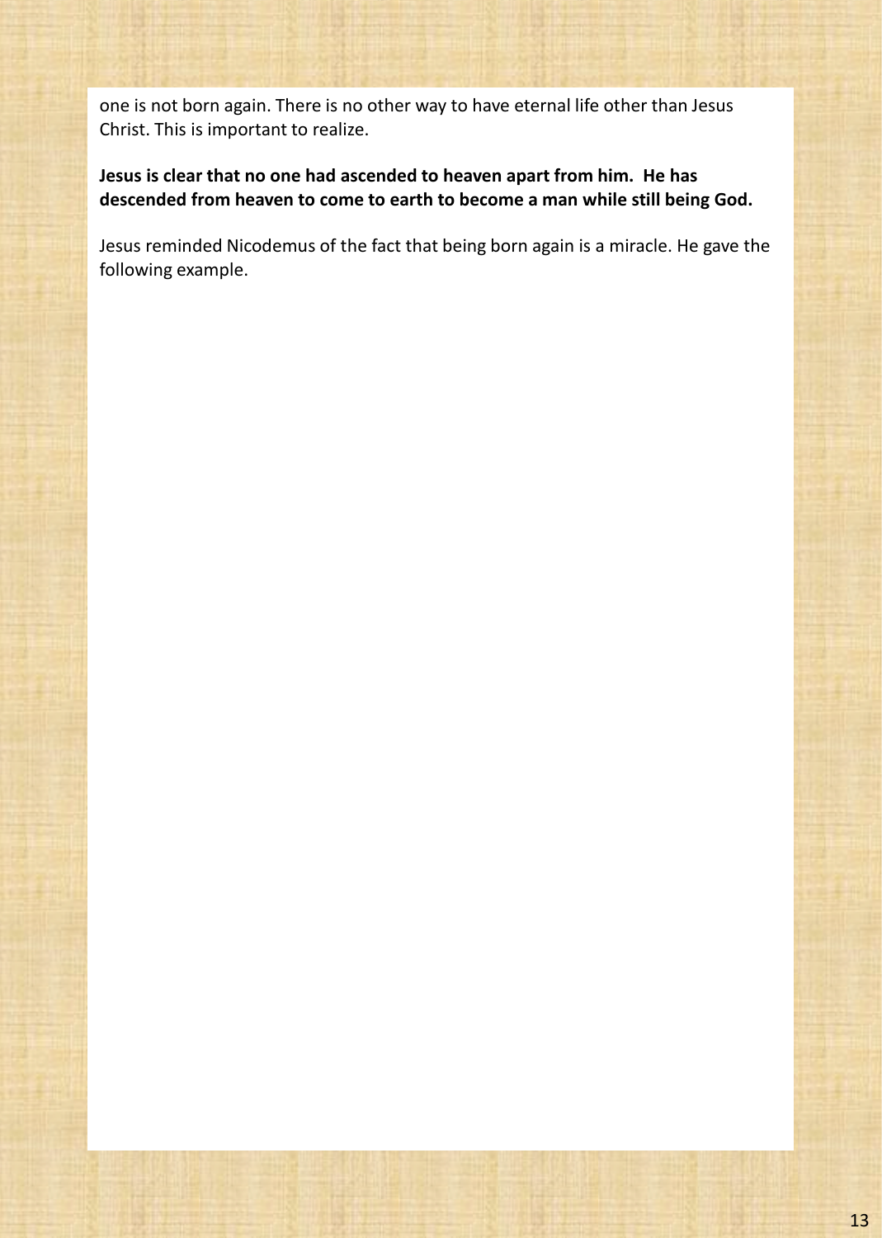one is not born again. There is no other way to have eternal life other than Jesus Christ. This is important to realize.

**Jesus is clear that no one had ascended to heaven apart from him. He has descended from heaven to come to earth to become a man while still being God.**

Jesus reminded Nicodemus of the fact that being born again is a miracle. He gave the following example.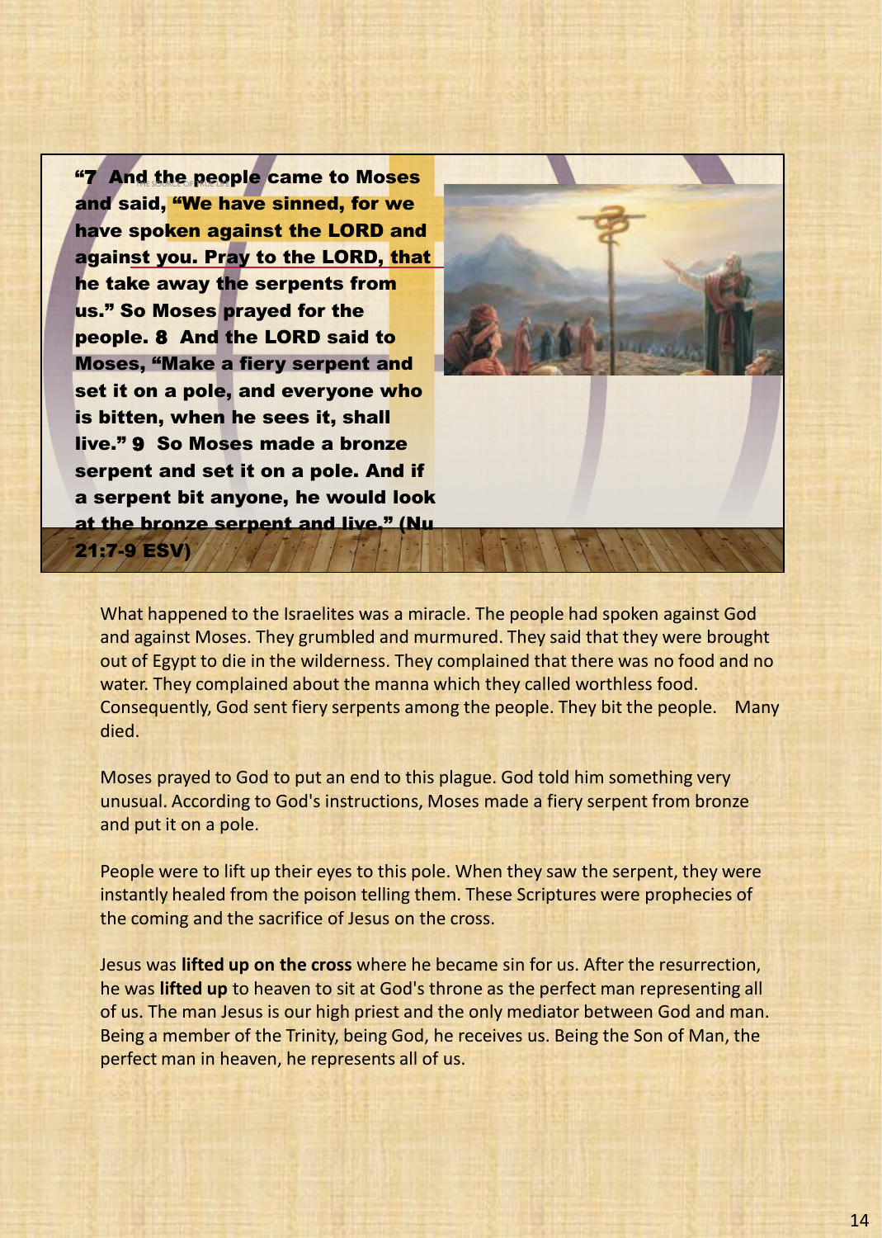"7 And the people came to Moses and said, "We have sinned, for we have spoken against the LORD and against you. Pray to the LORD, that he take away the serpents from us." So Moses prayed for the people. 8 And the LORD said to Moses, "Make a fiery serpent and set it on a pole, and everyone who is bitten, when he sees it, shall live." 9 So Moses made a bronze serpent and set it on a pole. And if a serpent bit anyone, he would look at the bronze serpent and live." (Nu 21:7-9 ESV)



What happened to the Israelites was a miracle. The people had spoken against God and against Moses. They grumbled and murmured. They said that they were brought out of Egypt to die in the wilderness. They complained that there was no food and no water. They complained about the manna which they called worthless food. Consequently, God sent fiery serpents among the people. They bit the people. Many died.

Moses prayed to God to put an end to this plague. God told him something very unusual. According to God's instructions, Moses made a fiery serpent from bronze and put it on a pole.

People were to lift up their eyes to this pole. When they saw the serpent, they were instantly healed from the poison telling them. These Scriptures were prophecies of the coming and the sacrifice of Jesus on the cross.

Jesus was **lifted up on the cross** where he became sin for us. After the resurrection, he was **lifted up** to heaven to sit at God's throne as the perfect man representing all of us. The man Jesus is our high priest and the only mediator between God and man. Being a member of the Trinity, being God, he receives us. Being the Son of Man, the perfect man in heaven, he represents all of us.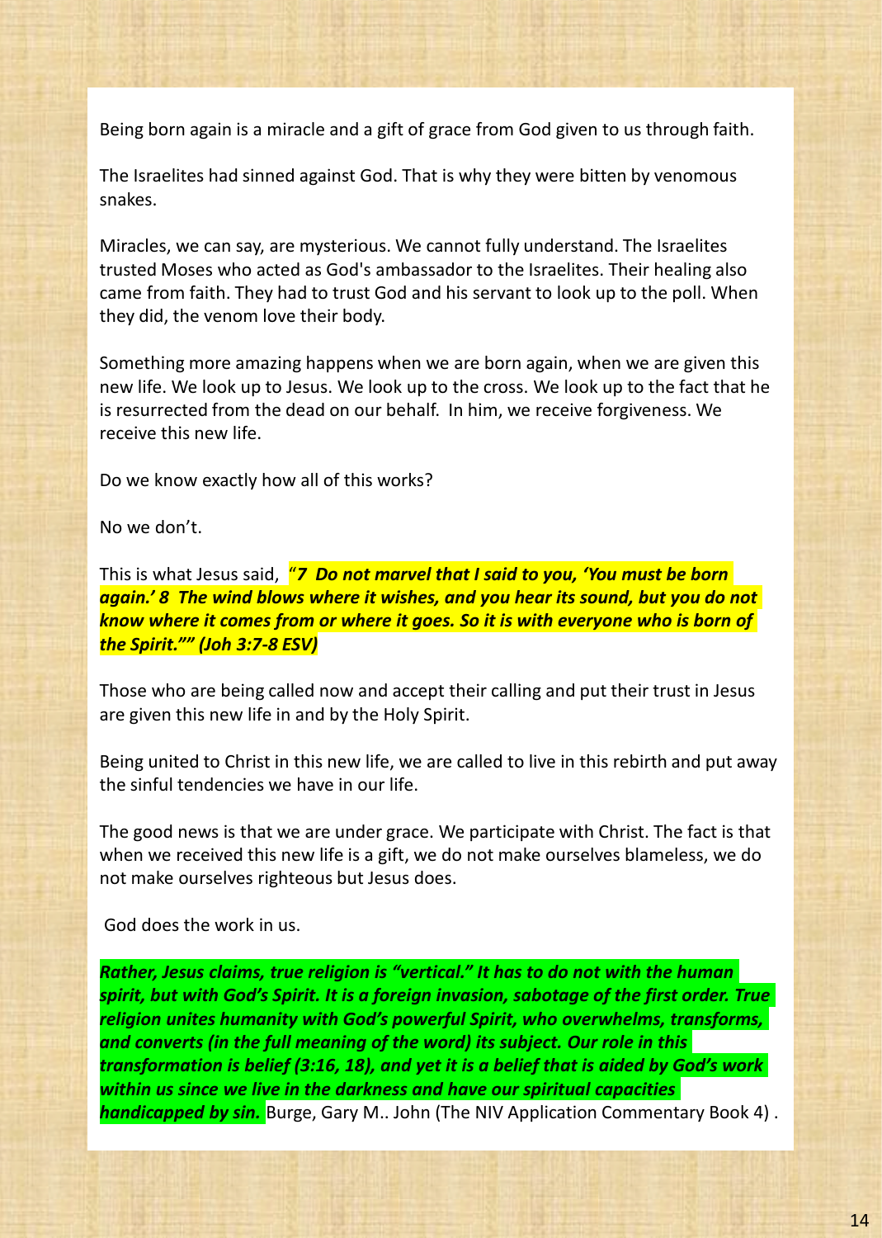Being born again is a miracle and a gift of grace from God given to us through faith.

The Israelites had sinned against God. That is why they were bitten by venomous snakes.

Miracles, we can say, are mysterious. We cannot fully understand. The Israelites trusted Moses who acted as God's ambassador to the Israelites. Their healing also came from faith. They had to trust God and his servant to look up to the poll. When they did, the venom love their body.

Something more amazing happens when we are born again, when we are given this new life. We look up to Jesus. We look up to the cross. We look up to the fact that he is resurrected from the dead on our behalf. In him, we receive forgiveness. We receive this new life.

Do we know exactly how all of this works?

No we don't.

This is what Jesus said, "*7 Do not marvel that I said to you, 'You must be born again.' 8 The wind blows where it wishes, and you hear its sound, but you do not know where it comes from or where it goes. So it is with everyone who is born of the Spirit."" (Joh 3:7-8 ESV)*

Those who are being called now and accept their calling and put their trust in Jesus are given this new life in and by the Holy Spirit.

Being united to Christ in this new life, we are called to live in this rebirth and put away the sinful tendencies we have in our life.

The good news is that we are under grace. We participate with Christ. The fact is that when we received this new life is a gift, we do not make ourselves blameless, we do not make ourselves righteous but Jesus does.

God does the work in us.

*Rather, Jesus claims, true religion is "vertical." It has to do not with the human spirit, but with God's Spirit. It is a foreign invasion, sabotage of the first order. True religion unites humanity with God's powerful Spirit, who overwhelms, transforms, and converts (in the full meaning of the word) its subject. Our role in this transformation is belief (3:16, 18), and yet it is a belief that is aided by God's work within us since we live in the darkness and have our spiritual capacities handicapped by sin.* Burge, Gary M.. John (The NIV Application Commentary Book 4) .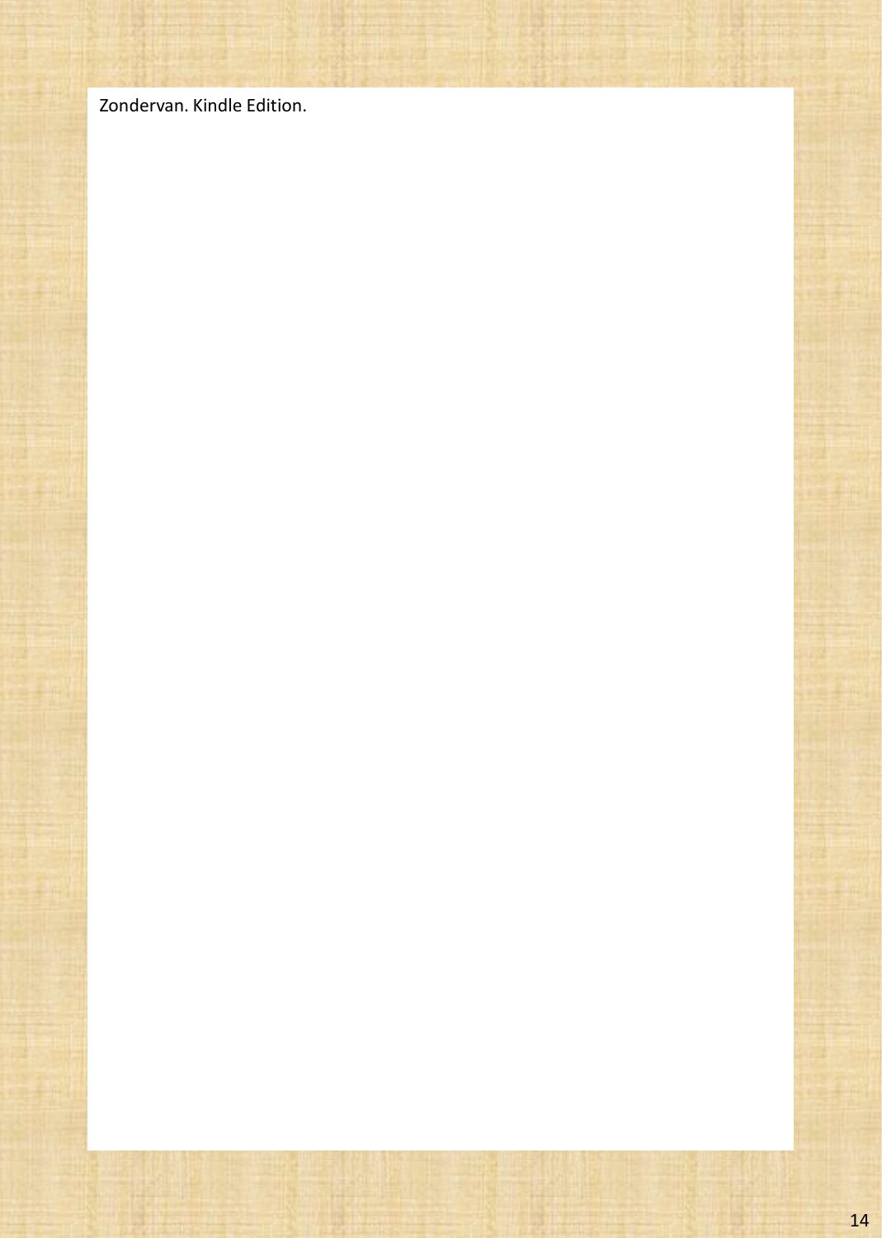Zondervan. Kindle Edition.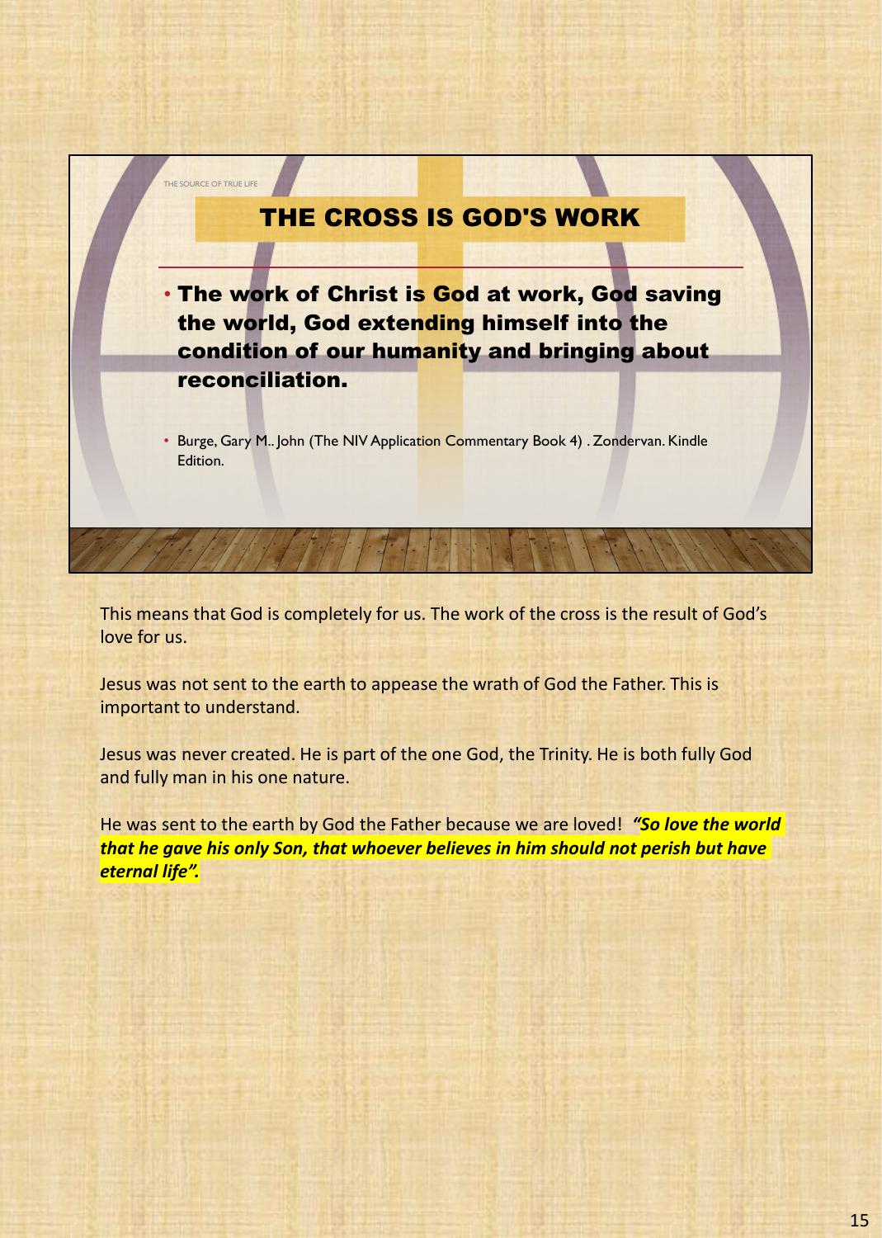# THE CROSS IS GOD'S WORK • The work of Christ is God at work, God saving the world, God extending himself into the condition of our humanity and bringing about reconciliation. • Burge, Gary M.. John (The NIV Application Commentary Book 4) . Zondervan. Kindle Edition. THE SOURCE OF TRUE LIFE

This means that God is completely for us. The work of the cross is the result of God's love for us.

Jesus was not sent to the earth to appease the wrath of God the Father. This is important to understand.

Jesus was never created. He is part of the one God, the Trinity. He is both fully God and fully man in his one nature.

He was sent to the earth by God the Father because we are loved! *"So love the world that he gave his only Son, that whoever believes in him should not perish but have eternal life".*